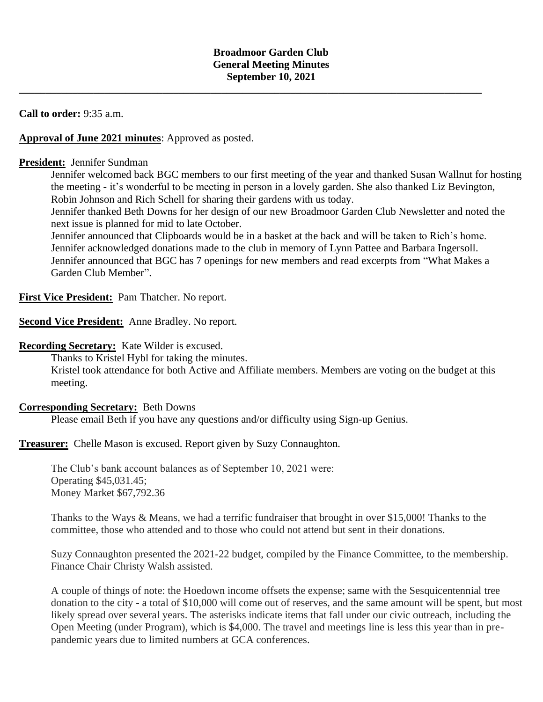**\_\_\_\_\_\_\_\_\_\_\_\_\_\_\_\_\_\_\_\_\_\_\_\_\_\_\_\_\_\_\_\_\_\_\_\_\_\_\_\_\_\_\_\_\_\_\_\_\_\_\_\_\_\_\_\_\_\_\_\_\_\_\_\_\_\_\_\_\_\_\_\_\_\_\_\_\_\_\_\_\_\_\_\_\_\_\_**

### **Call to order:** 9:35 a.m.

## **Approval of June 2021 minutes**: Approved as posted.

## **President:** Jennifer Sundman

Jennifer welcomed back BGC members to our first meeting of the year and thanked Susan Wallnut for hosting the meeting - it's wonderful to be meeting in person in a lovely garden. She also thanked Liz Bevington, Robin Johnson and Rich Schell for sharing their gardens with us today.

Jennifer thanked Beth Downs for her design of our new Broadmoor Garden Club Newsletter and noted the next issue is planned for mid to late October.

Jennifer announced that Clipboards would be in a basket at the back and will be taken to Rich's home. Jennifer acknowledged donations made to the club in memory of Lynn Pattee and Barbara Ingersoll. Jennifer announced that BGC has 7 openings for new members and read excerpts from "What Makes a Garden Club Member".

**First Vice President:** Pam Thatcher. No report.

**Second Vice President:** Anne Bradley. No report.

### **Recording Secretary:** Kate Wilder is excused.

Thanks to Kristel Hybl for taking the minutes. Kristel took attendance for both Active and Affiliate members. Members are voting on the budget at this meeting.

#### **Corresponding Secretary:** Beth Downs

Please email Beth if you have any questions and/or difficulty using Sign-up Genius.

**Treasurer:** Chelle Mason is excused. Report given by Suzy Connaughton.

The Club's bank account balances as of September 10, 2021 were: Operating \$45,031.45; Money Market \$67,792.36

Thanks to the Ways & Means, we had a terrific fundraiser that brought in over \$15,000! Thanks to the committee, those who attended and to those who could not attend but sent in their donations.

Suzy Connaughton presented the 2021-22 budget, compiled by the Finance Committee, to the membership. Finance Chair Christy Walsh assisted.

A couple of things of note: the Hoedown income offsets the expense; same with the Sesquicentennial tree donation to the city - a total of \$10,000 will come out of reserves, and the same amount will be spent, but most likely spread over several years. The asterisks indicate items that fall under our civic outreach, including the Open Meeting (under Program), which is \$4,000. The travel and meetings line is less this year than in prepandemic years due to limited numbers at GCA conferences.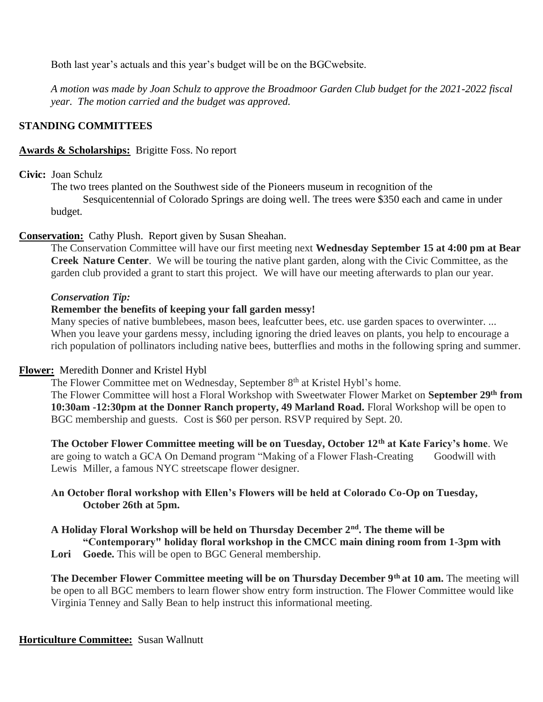Both last year's actuals and this year's budget will be on the BGCwebsite.

*A motion was made by Joan Schulz to approve the Broadmoor Garden Club budget for the 2021-2022 fiscal year. The motion carried and the budget was approved.*

## **STANDING COMMITTEES**

## **Awards & Scholarships:** Brigitte Foss. No report

## **Civic:** Joan Schulz

The two trees planted on the Southwest side of the Pioneers museum in recognition of the Sesquicentennial of Colorado Springs are doing well. The trees were \$350 each and came in under budget.

## **Conservation:** Cathy Plush. Report given by Susan Sheahan.

The Conservation Committee will have our first meeting next **Wednesday September 15 at 4:00 pm at Bear Creek Nature Center**. We will be touring the native plant garden, along with the Civic Committee, as the garden club provided a grant to start this project. We will have our meeting afterwards to plan our year.

#### *Conservation Tip:*

## **Remember the benefits of keeping your fall garden messy!**

Many species of native bumblebees, mason bees, leafcutter bees, etc. use garden spaces to overwinter. ... When you leave your gardens messy, including ignoring the dried leaves on plants, you help to encourage a rich population of pollinators including native bees, butterflies and moths in the following spring and summer.

## **Flower:** Meredith Donner and Kristel Hybl

The Flower Committee met on Wednesday, September 8<sup>th</sup> at Kristel Hybl's home. The Flower Committee will host a Floral Workshop with Sweetwater Flower Market on **September 29th from 10:30am -12:30pm at the Donner Ranch property, 49 Marland Road.** Floral Workshop will be open to BGC membership and guests. Cost is \$60 per person. RSVP required by Sept. 20.

**The October Flower Committee meeting will be on Tuesday, October 12th at Kate Faricy's home**. We are going to watch a GCA On Demand program "Making of a Flower Flash-Creating Goodwill with Lewis Miller, a famous NYC streetscape flower designer.

## **An October floral workshop with Ellen's Flowers will be held at Colorado Co-Op on Tuesday, October 26th at 5pm.**

**A Holiday Floral Workshop will be held on Thursday December 2nd. The theme will be "Contemporary" holiday floral workshop in the CMCC main dining room from 1-3pm with**  Lori Goede. This will be open to BGC General membership.

**The December Flower Committee meeting will be on Thursday December 9th at 10 am.** The meeting will be open to all BGC members to learn flower show entry form instruction. The Flower Committee would like Virginia Tenney and Sally Bean to help instruct this informational meeting.

#### **Horticulture Committee:** Susan Wallnutt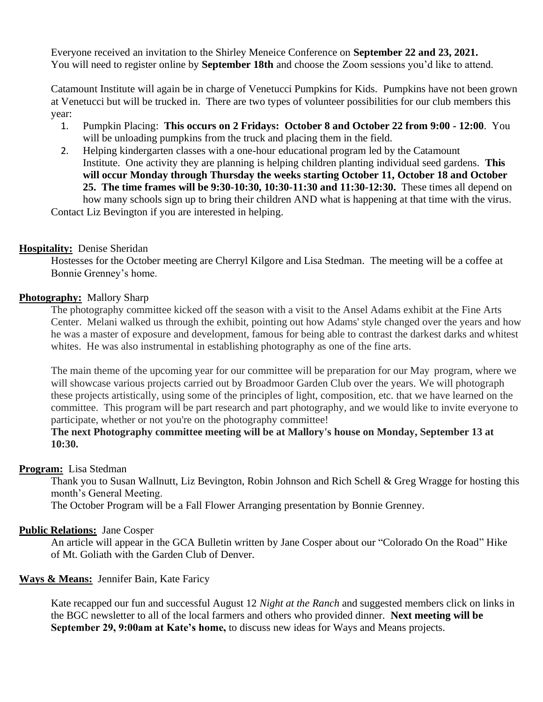Everyone received an invitation to the Shirley Meneice Conference on **September 22 and 23, 2021.** You will need to register online by **September 18th** and choose the Zoom sessions you'd like to attend.

Catamount Institute will again be in charge of Venetucci Pumpkins for Kids. Pumpkins have not been grown at Venetucci but will be trucked in. There are two types of volunteer possibilities for our club members this year:

- 1. Pumpkin Placing: **This occurs on 2 Fridays: October 8 and October 22 from 9:00 - 12:00**. You will be unloading pumpkins from the truck and placing them in the field.
- 2. Helping kindergarten classes with a one-hour educational program led by the Catamount Institute. One activity they are planning is helping children planting individual seed gardens. **This will occur Monday through Thursday the weeks starting October 11, October 18 and October 25. The time frames will be 9:30-10:30, 10:30-11:30 and 11:30-12:30.** These times all depend on how many schools sign up to bring their children AND what is happening at that time with the virus. Contact Liz Bevington if you are interested in helping.

## **Hospitality:** Denise Sheridan

Hostesses for the October meeting are Cherryl Kilgore and Lisa Stedman. The meeting will be a coffee at Bonnie Grenney's home.

## **Photography:** Mallory Sharp

The photography committee kicked off the season with a visit to the Ansel Adams exhibit at the Fine Arts Center. Melani walked us through the exhibit, pointing out how Adams' style changed over the years and how he was a master of exposure and development, famous for being able to contrast the darkest darks and whitest whites. He was also instrumental in establishing photography as one of the fine arts.

The main theme of the upcoming year for our committee will be preparation for our May program, where we will showcase various projects carried out by Broadmoor Garden Club over the years. We will photograph these projects artistically, using some of the principles of light, composition, etc. that we have learned on the committee. This program will be part research and part photography, and we would like to invite everyone to participate, whether or not you're on the photography committee!

## **The next Photography committee meeting will be at Mallory's house on Monday, September 13 at 10:30.**

#### **Program:** Lisa Stedman

Thank you to Susan Wallnutt, Liz Bevington, Robin Johnson and Rich Schell & Greg Wragge for hosting this month's General Meeting.

The October Program will be a Fall Flower Arranging presentation by Bonnie Grenney.

#### **Public Relations:** Jane Cosper

An article will appear in the GCA Bulletin written by Jane Cosper about our "Colorado On the Road" Hike of Mt. Goliath with the Garden Club of Denver.

#### **Ways & Means:** Jennifer Bain, Kate Faricy

Kate recapped our fun and successful August 12 *Night at the Ranch* and suggested members click on links in the BGC newsletter to all of the local farmers and others who provided dinner. **Next meeting will be September 29, 9:00am at Kate's home,** to discuss new ideas for Ways and Means projects.